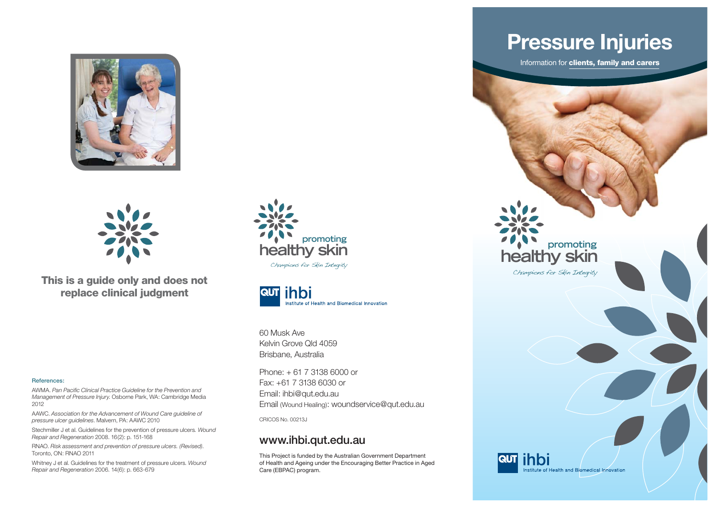



**This is a guide only and does not replace clinical judgment**

#### **References:**

AWMA. Pan Pacific Clinical Practice Guideline for the Prevention and *Management of Pressure Injury*. Osborne Park, WA: Cambridge Media 2012

AAWC. *Association for the Advancement of Wound Care guideline of pressure ulcer guidelines*. Malvern, PA: AAWC 2010

Stechmiller J et al. Guidelines for the prevention of pressure ulcers*. Wound Repair and Regeneration* 2008. 16(2): p. 151-168

RNAO. *Risk assessment and prevention of pressure ulcers. (Revised)*. Toronto, ON: RNAO 2011

Whitney J et al. Guidelines for the treatment of pressure ulcers*. Wound Repair and Regeneration* 2006. 14(6): p. 663-679





60 Musk AveKelvin Grove Qld 4059 Brisbane, Australia

Phone: + 61 7 3138 6000 or Fax: +61 7 3138 6030 or Email: ihbi@qut.edu.au Email (Wound Healing): woundservice@qut.edu.au

CRICOS No. 00213J

#### **www.ihbi.qut.edu.au**

This Project is funded by the Australian Government Department of Health and Ageing under the Encouraging Better Practice in Aged Care (EBPAC) program.

# **Pressure Injuries**

Information for **clients, family and carers**